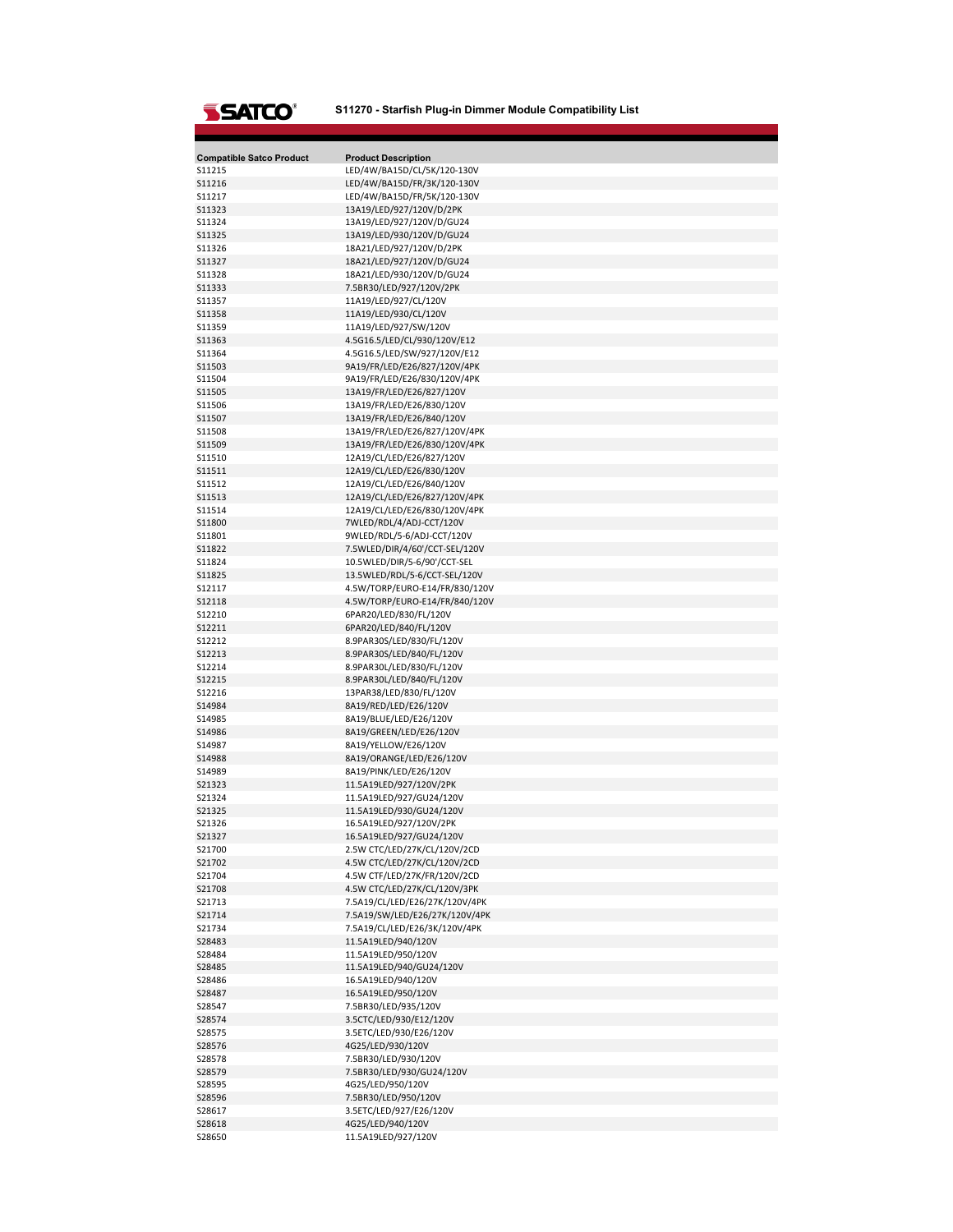## **S11270 - Starfish Plug-in Dimmer Module Compatibility List**

| <b>Compatible Satco Product</b> | <b>Product Description</b>                                       |
|---------------------------------|------------------------------------------------------------------|
| S11215                          | LED/4W/BA15D/CL/5K/120-130V                                      |
| S11216                          | LED/4W/BA15D/FR/3K/120-130V                                      |
| S11217                          | LED/4W/BA15D/FR/5K/120-130V                                      |
| S11323<br>S11324                | 13A19/LED/927/120V/D/2PK<br>13A19/LED/927/120V/D/GU24            |
| S11325                          | 13A19/LED/930/120V/D/GU24                                        |
| S11326                          | 18A21/LED/927/120V/D/2PK                                         |
| S11327                          | 18A21/LED/927/120V/D/GU24                                        |
| <b>S11328</b>                   | 18A21/LED/930/120V/D/GU24                                        |
| <b>S11333</b>                   | 7.5BR30/LED/927/120V/2PK                                         |
| S11357                          | 11A19/LED/927/CL/120V                                            |
| S11358                          | 11A19/LED/930/CL/120V                                            |
| S11359                          | 11A19/LED/927/SW/120V                                            |
| S11363                          | 4.5G16.5/LED/CL/930/120V/E12                                     |
| S11364                          | 4.5G16.5/LED/SW/927/120V/E12                                     |
| S11503                          | 9A19/FR/LED/E26/827/120V/4PK                                     |
| S11504                          | 9A19/FR/LED/E26/830/120V/4PK                                     |
| S11505                          | 13A19/FR/LED/E26/827/120V                                        |
| S11506                          | 13A19/FR/LED/E26/830/120V                                        |
| S11507                          | 13A19/FR/LED/E26/840/120V                                        |
| S11508                          | 13A19/FR/LED/E26/827/120V/4PK                                    |
| S11509<br>S11510                | 13A19/FR/LED/E26/830/120V/4PK<br>12A19/CL/LED/E26/827/120V       |
| S11511                          | 12A19/CL/LED/E26/830/120V                                        |
| S11512                          | 12A19/CL/LED/E26/840/120V                                        |
| S11513                          | 12A19/CL/LED/E26/827/120V/4PK                                    |
| S11514                          | 12A19/CL/LED/E26/830/120V/4PK                                    |
| S11800                          | 7WLED/RDL/4/ADJ-CCT/120V                                         |
| S11801                          | 9WLED/RDL/5-6/ADJ-CCT/120V                                       |
| S11822                          | 7.5WLED/DIR/4/60'/CCT-SEL/120V                                   |
| S11824                          | 10.5WLED/DIR/5-6/90'/CCT-SEL                                     |
| S11825                          | 13.5WLED/RDL/5-6/CCT-SEL/120V                                    |
| S12117                          | 4.5W/TORP/EURO-E14/FR/830/120V                                   |
| S12118                          | 4.5W/TORP/EURO-E14/FR/840/120V                                   |
| S12210                          | 6PAR20/LED/830/FL/120V                                           |
| S12211                          | 6PAR20/LED/840/FL/120V                                           |
| S12212                          | 8.9PAR30S/LED/830/FL/120V                                        |
| S12213                          | 8.9PAR30S/LED/840/FL/120V                                        |
| S12214                          | 8.9PAR30L/LED/830/FL/120V                                        |
| S12215<br>S12216                | 8.9PAR30L/LED/840/FL/120V<br>13PAR38/LED/830/FL/120V             |
| S14984                          | 8A19/RED/LED/E26/120V                                            |
| S14985                          | 8A19/BLUE/LED/E26/120V                                           |
| S14986                          | 8A19/GREEN/LED/E26/120V                                          |
| S14987                          | 8A19/YELLOW/E26/120V                                             |
| S14988                          | 8A19/ORANGE/LED/E26/120V                                         |
| S14989                          | 8A19/PINK/LED/E26/120V                                           |
| S21323                          | 11.5A19LED/927/120V/2PK                                          |
| S21324                          | 11.5A19LED/927/GU24/120V                                         |
| S21325                          | 11.5A19LED/930/GU24/120V                                         |
| S21326                          | 16.5A19LED/927/120V/2PK                                          |
| 521327                          | 16.5A19LED/927/GU24/120V                                         |
| S21700                          | 2.5W CTC/LED/27K/CL/120V/2CD                                     |
| S21702                          | 4.5W CTC/LED/27K/CL/120V/2CD                                     |
| S21704                          | 4.5W CTF/LED/27K/FR/120V/2CD                                     |
| S21708                          | 4.5W CTC/LED/27K/CL/120V/3PK                                     |
| S21713<br>S21714                | 7.5A19/CL/LED/E26/27K/120V/4PK<br>7.5A19/SW/LED/E26/27K/120V/4PK |
| S21734                          | 7.5A19/CL/LED/E26/3K/120V/4PK                                    |
| S28483                          | 11.5A19LED/940/120V                                              |
| S28484                          | 11.5A19LED/950/120V                                              |
| S28485                          | 11.5A19LED/940/GU24/120V                                         |
| S28486                          | 16.5A19LED/940/120V                                              |
| S28487                          | 16.5A19LED/950/120V                                              |
| S28547                          | 7.5BR30/LED/935/120V                                             |
| S28574                          | 3.5CTC/LED/930/E12/120V                                          |
| S28575                          | 3.5ETC/LED/930/E26/120V                                          |
| S28576                          | 4G25/LED/930/120V                                                |
| S28578                          | 7.5BR30/LED/930/120V                                             |
| S28579                          | 7.5BR30/LED/930/GU24/120V                                        |
| S28595                          | 4G25/LED/950/120V                                                |
| S28596                          | 7.5BR30/LED/950/120V                                             |
| S28617                          | 3.5ETC/LED/927/E26/120V                                          |
| S28618                          | 4G25/LED/940/120V                                                |
| S28650                          | 11.5A19LED/927/120V                                              |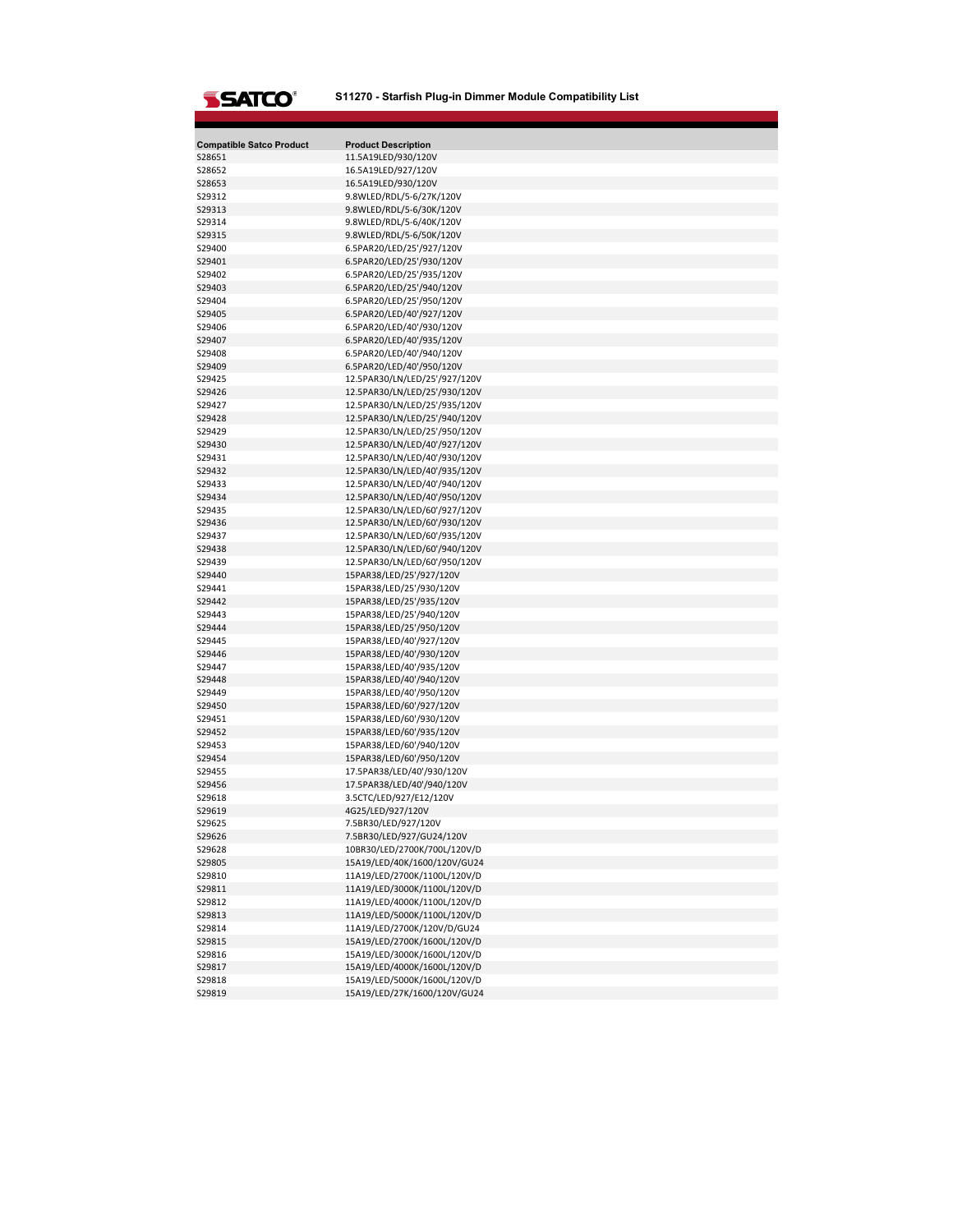## **S11270 - Starfish Plug-in Dimmer Module Compatibility List**

|                                           | <b>Product Description</b>                                     |
|-------------------------------------------|----------------------------------------------------------------|
| <b>Compatible Satco Product</b><br>S28651 | 11.5A19LED/930/120V                                            |
| S28652                                    | 16.5A19LED/927/120V                                            |
| S28653                                    | 16.5A19LED/930/120V                                            |
| S29312                                    | 9.8WLED/RDL/5-6/27K/120V                                       |
| S29313                                    | 9.8WLED/RDL/5-6/30K/120V                                       |
| S29314                                    | 9.8WLED/RDL/5-6/40K/120V                                       |
| S29315                                    | 9.8WLED/RDL/5-6/50K/120V                                       |
| S29400                                    | 6.5PAR20/LED/25'/927/120V                                      |
| S29401                                    | 6.5PAR20/LED/25'/930/120V                                      |
| S29402                                    | 6.5PAR20/LED/25'/935/120V                                      |
| S29403                                    | 6.5PAR20/LED/25'/940/120V                                      |
| S29404                                    | 6.5PAR20/LED/25'/950/120V                                      |
| S29405                                    | 6.5PAR20/LED/40'/927/120V                                      |
| S29406                                    | 6.5PAR20/LED/40'/930/120V                                      |
| S29407                                    | 6.5PAR20/LED/40'/935/120V                                      |
| S29408                                    | 6.5PAR20/LED/40'/940/120V                                      |
| S29409                                    | 6.5PAR20/LED/40'/950/120V                                      |
| S29425                                    | 12.5PAR30/LN/LED/25'/927/120V                                  |
| S29426                                    | 12.5PAR30/LN/LED/25'/930/120V                                  |
| S29427                                    | 12.5PAR30/LN/LED/25'/935/120V                                  |
| S29428<br>S29429                          | 12.5PAR30/LN/LED/25'/940/120V<br>12.5PAR30/LN/LED/25'/950/120V |
| S29430                                    | 12.5PAR30/LN/LED/40'/927/120V                                  |
| S29431                                    | 12.5PAR30/LN/LED/40'/930/120V                                  |
| S29432                                    | 12.5PAR30/LN/LED/40'/935/120V                                  |
| S29433                                    | 12.5PAR30/LN/LED/40'/940/120V                                  |
| S29434                                    | 12.5PAR30/LN/LED/40'/950/120V                                  |
| S29435                                    | 12.5PAR30/LN/LED/60'/927/120V                                  |
| S29436                                    | 12.5PAR30/LN/LED/60'/930/120V                                  |
| S29437                                    | 12.5PAR30/LN/LED/60'/935/120V                                  |
| S29438                                    | 12.5PAR30/LN/LED/60'/940/120V                                  |
| S29439                                    | 12.5PAR30/LN/LED/60'/950/120V                                  |
| S29440                                    | 15PAR38/LED/25'/927/120V                                       |
| S29441                                    | 15PAR38/LED/25'/930/120V                                       |
| S29442                                    | 15PAR38/LED/25'/935/120V                                       |
| S29443                                    | 15PAR38/LED/25'/940/120V                                       |
| S29444                                    | 15PAR38/LED/25'/950/120V                                       |
| S29445                                    | 15PAR38/LED/40'/927/120V                                       |
| S29446                                    | 15PAR38/LED/40'/930/120V                                       |
| S29447                                    | 15PAR38/LED/40'/935/120V                                       |
| S29448<br>S29449                          | 15PAR38/LED/40'/940/120V                                       |
| S29450                                    | 15PAR38/LED/40'/950/120V<br>15PAR38/LED/60'/927/120V           |
| S29451                                    | 15PAR38/LED/60'/930/120V                                       |
| S29452                                    | 15PAR38/LED/60'/935/120V                                       |
| S29453                                    | 15PAR38/LED/60'/940/120V                                       |
| S29454                                    | 15PAR38/LED/60'/950/120V                                       |
| S29455                                    | 17.5PAR38/LED/40'/930/120V                                     |
| S29456                                    | 17.5PAR38/LED/40'/940/120V                                     |
| S29618                                    | 3.5CTC/LED/927/E12/120V                                        |
| S29619                                    | 4G25/LED/927/120V                                              |
| S29625                                    | 7.5BR30/LED/927/120V                                           |
| S29626                                    | 7.5BR30/LED/927/GU24/120V                                      |
| S29628                                    | 10BR30/LED/2700K/700L/120V/D                                   |
| S29805                                    | 15A19/LED/40K/1600/120V/GU24                                   |
| S29810                                    | 11A19/LED/2700K/1100L/120V/D                                   |
| S29811                                    | 11A19/LED/3000K/1100L/120V/D                                   |
| S29812                                    | 11A19/LED/4000K/1100L/120V/D                                   |
| S29813                                    | 11A19/LED/5000K/1100L/120V/D                                   |
| S29814                                    | 11A19/LED/2700K/120V/D/GU24                                    |
| S29815                                    | 15A19/LED/2700K/1600L/120V/D                                   |
| S29816<br>S29817                          | 15A19/LED/3000K/1600L/120V/D                                   |
| S29818                                    | 15A19/LED/4000K/1600L/120V/D<br>15A19/LED/5000K/1600L/120V/D   |
| S29819                                    | 15A19/LED/27K/1600/120V/GU24                                   |
|                                           |                                                                |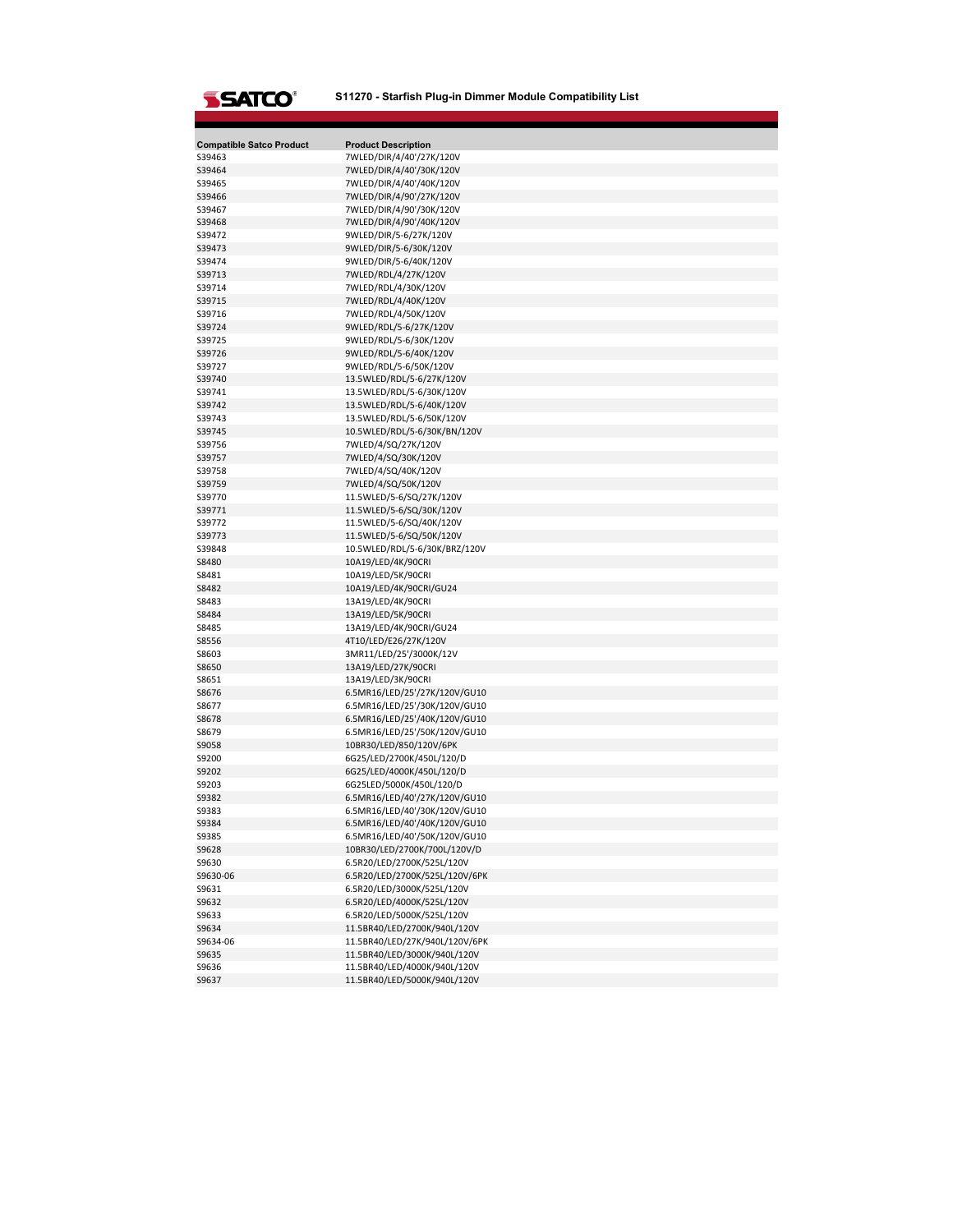## **S11270 - Starfish Plug-in Dimmer Module Compatibility List**

| <b>Compatible Satco Product</b><br>S39463 | <b>Product Description</b><br>7WLED/DIR/4/40'/27K/120V         |
|-------------------------------------------|----------------------------------------------------------------|
| S39464                                    | 7WLED/DIR/4/40'/30K/120V                                       |
| S39465                                    | 7WLED/DIR/4/40'/40K/120V                                       |
| S39466                                    | 7WLED/DIR/4/90'/27K/120V                                       |
| S39467                                    | 7WLED/DIR/4/90'/30K/120V                                       |
| S39468                                    | 7WLED/DIR/4/90'/40K/120V                                       |
| S39472                                    | 9WLED/DIR/5-6/27K/120V                                         |
| S39473                                    | 9WLED/DIR/5-6/30K/120V                                         |
| S39474                                    | 9WLED/DIR/5-6/40K/120V                                         |
| S39713                                    | 7WLED/RDL/4/27K/120V                                           |
| S39714                                    | 7WLED/RDL/4/30K/120V                                           |
| S39715                                    | 7WLED/RDL/4/40K/120V                                           |
| S39716                                    | 7WLED/RDL/4/50K/120V                                           |
| S39724                                    | 9WLED/RDL/5-6/27K/120V                                         |
| S39725                                    | 9WLED/RDL/5-6/30K/120V                                         |
| S39726                                    | 9WLED/RDL/5-6/40K/120V                                         |
| S39727                                    | 9WLED/RDL/5-6/50K/120V                                         |
| S39740                                    | 13.5WLED/RDL/5-6/27K/120V                                      |
| S39741                                    | 13.5WLED/RDL/5-6/30K/120V                                      |
| S39742                                    | 13.5WLED/RDL/5-6/40K/120V                                      |
| S39743<br>S39745                          | 13.5WLED/RDL/5-6/50K/120V<br>10.5WLED/RDL/5-6/30K/BN/120V      |
| S39756                                    | 7WLED/4/SQ/27K/120V                                            |
| S39757                                    | 7WLED/4/SQ/30K/120V                                            |
| S39758                                    | 7WLED/4/SQ/40K/120V                                            |
| S39759                                    | 7WLED/4/SQ/50K/120V                                            |
| S39770                                    | 11.5WLED/5-6/SQ/27K/120V                                       |
| S39771                                    | 11.5WLED/5-6/SQ/30K/120V                                       |
| S39772                                    | 11.5WLED/5-6/SQ/40K/120V                                       |
| S39773                                    | 11.5WLED/5-6/SQ/50K/120V                                       |
| S39848                                    | 10.5WLED/RDL/5-6/30K/BRZ/120V                                  |
| S8480                                     | 10A19/LED/4K/90CRI                                             |
| S8481                                     | 10A19/LED/5K/90CRI                                             |
| S8482                                     | 10A19/LED/4K/90CRI/GU24                                        |
| S8483                                     | 13A19/LED/4K/90CRI                                             |
| S8484                                     | 13A19/LED/5K/90CRI                                             |
| S8485                                     | 13A19/LED/4K/90CRI/GU24                                        |
| S8556                                     | 4T10/LED/E26/27K/120V                                          |
| S8603                                     | 3MR11/LED/25'/3000K/12V                                        |
| S8650                                     | 13A19/LED/27K/90CRI                                            |
| S8651                                     | 13A19/LED/3K/90CRI                                             |
| S8676<br>S8677                            | 6.5MR16/LED/25'/27K/120V/GU10<br>6.5MR16/LED/25'/30K/120V/GU10 |
| S8678                                     | 6.5MR16/LED/25'/40K/120V/GU10                                  |
| S8679                                     | 6.5MR16/LED/25'/50K/120V/GU10                                  |
| S9058                                     | 10BR30/LED/850/120V/6PK                                        |
| S9200                                     | 6G25/LED/2700K/450L/120/D                                      |
| S9202                                     | 6G25/LED/4000K/450L/120/D                                      |
| S9203                                     | 6G25LED/5000K/450L/120/D                                       |
| S9382                                     | 6.5MR16/LED/40'/27K/120V/GU10                                  |
| S9383                                     | 6.5MR16/LED/40'/30K/120V/GU10                                  |
| S9384                                     | 6.5MR16/LED/40'/40K/120V/GU10                                  |
| S9385                                     | 6.5MR16/LED/40'/50K/120V/GU10                                  |
| S9628                                     | 10BR30/LED/2700K/700L/120V/D                                   |
| S9630                                     | 6.5R20/LED/2700K/525L/120V                                     |
| S9630-06                                  | 6.5R20/LED/2700K/525L/120V/6PK                                 |
| S9631                                     | 6.5R20/LED/3000K/525L/120V                                     |
| S9632                                     | 6.5R20/LED/4000K/525L/120V                                     |
| S9633                                     | 6.5R20/LED/5000K/525L/120V                                     |
| S9634                                     | 11.5BR40/LED/2700K/940L/120V                                   |
| S9634-06                                  | 11.5BR40/LED/27K/940L/120V/6PK                                 |
| S9635                                     | 11.5BR40/LED/3000K/940L/120V                                   |
| S9636                                     | 11.5BR40/LED/4000K/940L/120V                                   |
| S9637                                     | 11.5BR40/LED/5000K/940L/120V                                   |